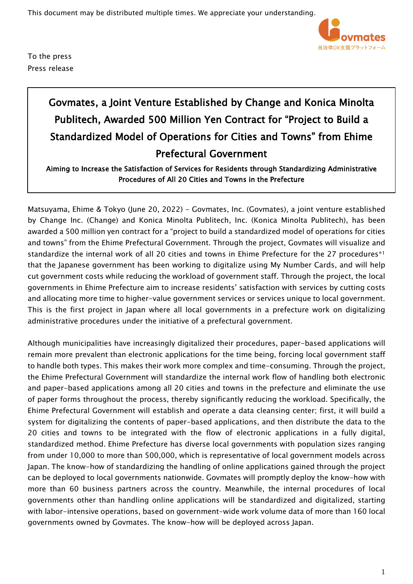This document may be distributed multiple times. We appreciate your understanding.



To the press Press release

## Govmates, a Joint Venture Established by Change and Konica Minolta Publitech, Awarded 500 Million Yen Contract for "Project to Build a Standardized Model of Operations for Cities and Towns" from Ehime Prefectural Government

Aiming to Increase the Satisfaction of Services for Residents through Standardizing Administrative Procedures of All 20 Cities and Towns in the Prefecture

Matsuyama, Ehime & Tokyo (June 20, 2022) - Govmates, Inc. (Govmates), a joint venture established by Change Inc. (Change) and Konica Minolta Publitech, Inc. (Konica Minolta Publitech), has been awarded a 500 million yen contract for a "project to build a standardized model of operations for cities and towns" from the Ehime Prefectural Government. Through the project, Govmates will visualize and standardize the internal work of all 20 cities and towns in Ehime Prefecture for the 27 procedures\*1 that the Japanese government has been working to digitalize using My Number Cards, and will help cut government costs while reducing the workload of government staff. Through the project, the local governments in Ehime Prefecture aim to increase residents' satisfaction with services by cutting costs and allocating more time to higher-value government services or services unique to local government. This is the first project in Japan where all local governments in a prefecture work on digitalizing administrative procedures under the initiative of a prefectural government.

Although municipalities have increasingly digitalized their procedures, paper-based applications will remain more prevalent than electronic applications for the time being, forcing local government staff to handle both types. This makes their work more complex and time-consuming. Through the project, the Ehime Prefectural Government will standardize the internal work flow of handling both electronic and paper-based applications among all 20 cities and towns in the prefecture and eliminate the use of paper forms throughout the process, thereby significantly reducing the workload. Specifically, the Ehime Prefectural Government will establish and operate a data cleansing center; first, it will build a system for digitalizing the contents of paper-based applications, and then distribute the data to the 20 cities and towns to be integrated with the flow of electronic applications in a fully digital, standardized method. Ehime Prefecture has diverse local governments with population sizes ranging from under 10,000 to more than 500,000, which is representative of local government models across Japan. The know-how of standardizing the handling of online applications gained through the project can be deployed to local governments nationwide. Govmates will promptly deploy the know-how with more than 60 business partners across the country. Meanwhile, the internal procedures of local governments other than handling online applications will be standardized and digitalized, starting with labor-intensive operations, based on government-wide work volume data of more than 160 local governments owned by Govmates. The know-how will be deployed across Japan.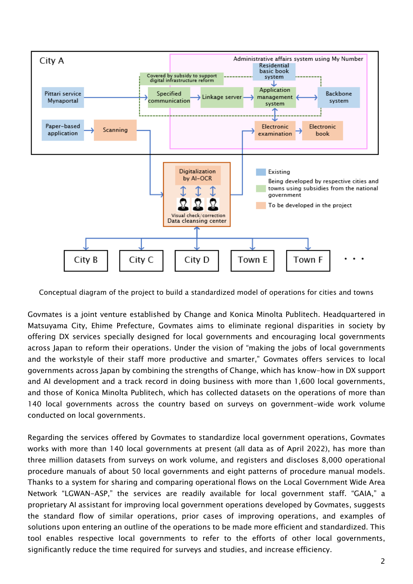

Conceptual diagram of the project to build a standardized model of operations for cities and towns

Govmates is a joint venture established by Change and Konica Minolta Publitech. Headquartered in Matsuyama City, Ehime Prefecture, Govmates aims to eliminate regional disparities in society by offering DX services specially designed for local governments and encouraging local governments across Japan to reform their operations. Under the vision of "making the jobs of local governments and the workstyle of their staff more productive and smarter," Govmates offers services to local governments across Japan by combining the strengths of Change, which has know-how in DX support and AI development and a track record in doing business with more than 1,600 local governments, and those of Konica Minolta Publitech, which has collected datasets on the operations of more than 140 local governments across the country based on surveys on government-wide work volume conducted on local governments.

Regarding the services offered by Govmates to standardize local government operations, Govmates works with more than 140 local governments at present (all data as of April 2022), has more than three million datasets from surveys on work volume, and registers and discloses 8,000 operational procedure manuals of about 50 local governments and eight patterns of procedure manual models. Thanks to a system for sharing and comparing operational flows on the Local Government Wide Area Network "LGWAN-ASP," the services are readily available for local government staff. "GAIA," a proprietary AI assistant for improving local government operations developed by Govmates, suggests the standard flow of similar operations, prior cases of improving operations, and examples of solutions upon entering an outline of the operations to be made more efficient and standardized. This tool enables respective local governments to refer to the efforts of other local governments, significantly reduce the time required for surveys and studies, and increase efficiency.